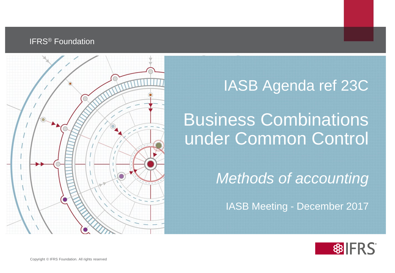#### **IFRS<sup>®</sup> Foundation**



#### IASB Agenda ref 23C

### Business Combinations under Common Control

*Methods of accounting*

IASB Meeting - December 2017

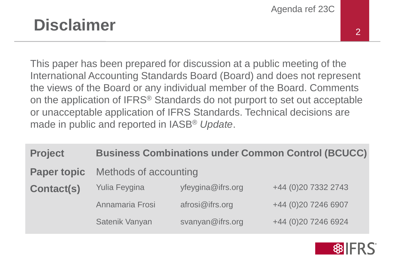#### **Disclaimer** 2

This paper has been prepared for discussion at a public meeting of the International Accounting Standards Board (Board) and does not represent the views of the Board or any individual member of the Board. Comments on the application of IFRS® Standards do not purport to set out acceptable or unacceptable application of IFRS Standards. Technical decisions are made in public and reported in IASB® *Update*.

| <b>Business Combinations under Common Control (BCUCC)</b> |                   |                     |
|-----------------------------------------------------------|-------------------|---------------------|
| Methods of accounting                                     |                   |                     |
| <b>Yulia Feygina</b>                                      | yfeygina@ifrs.org | +44 (0)20 7332 2743 |
| Annamaria Frosi                                           | afrosi@ifrs.org   | +44 (0)20 7246 6907 |
| Satenik Vanyan                                            | svanyan@ifrs.org  | +44 (0)20 7246 6924 |
|                                                           |                   |                     |

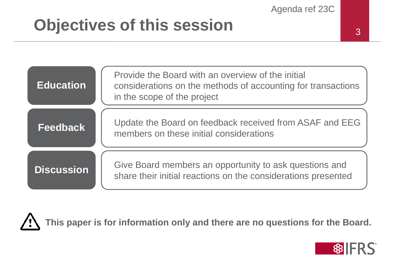## **Objectives of this session**

| <b>Education</b>  | Provide the Board with an overview of the initial<br>considerations on the methods of accounting for transactions<br>in the scope of the project |
|-------------------|--------------------------------------------------------------------------------------------------------------------------------------------------|
| <b>Feedback</b>   | Update the Board on feedback received from ASAF and EEG<br>members on these initial considerations                                               |
| <b>Discussion</b> | Give Board members an opportunity to ask questions and<br>share their initial reactions on the considerations presented                          |

**This paper is for information only and there are no questions for the Board.**

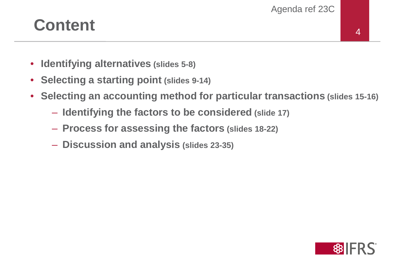### **Content** 4

- **Identifying alternatives (slides 5-8)**
- **Selecting a starting point (slides 9-14)**
- **Selecting an accounting method for particular transactions (slides 15-16)**
	- **Identifying the factors to be considered (slide 17)**
	- **Process for assessing the factors (slides 18-22)**
	- **Discussion and analysis (slides 23-35)**

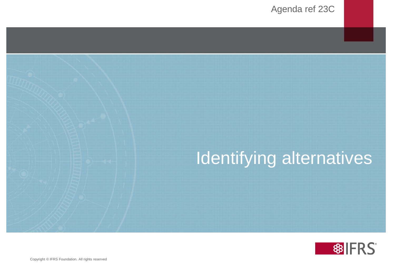

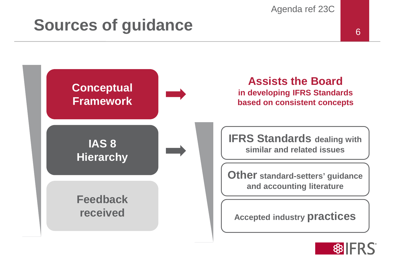### **Sources of guidance 6.6 August 2016**



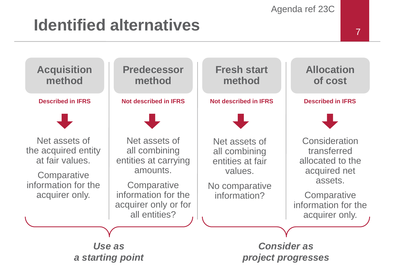## <sup>7</sup> **Identified alternatives**

**Acquisition method**



Net assets of the acquired entity at fair values.

**Comparative** information for the acquirer only.

#### **Predecessor method**

**Described in IFRS Not described in IFRS Not described in IFRS Described in IFRS**



Net assets of all combining entities at carrying amounts.

**Comparative** information for the acquirer only or for all entities?

#### **Fresh start method**



Net assets of all combining entities at fair values.

No comparative information?

#### **Allocation of cost**



**Consideration** transferred allocated to the acquired net assets.

**Comparative** information for the acquirer only.

*Use as a starting point*

*Consider as project progresses*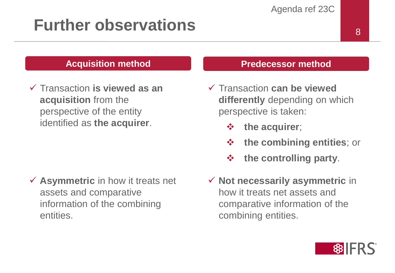### **Further observations**

#### **Acquisition method**

 Transaction **is viewed as an acquisition** from the perspective of the entity identified as **the acquirer**.

 **Asymmetric** in how it treats net assets and comparative information of the combining entities.

#### **Predecessor method**

- Transaction **can be viewed differently** depending on which perspective is taken:
	- **the acquirer**;
	- **the combining entities**; or
	- **the controlling party**.
- **Not necessarily asymmetric** in how it treats net assets and comparative information of the combining entities.

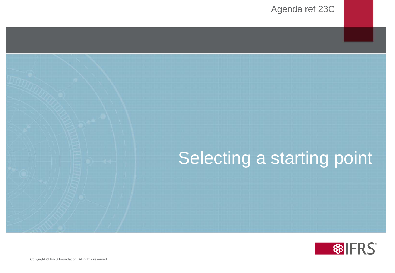# Selecting a starting point

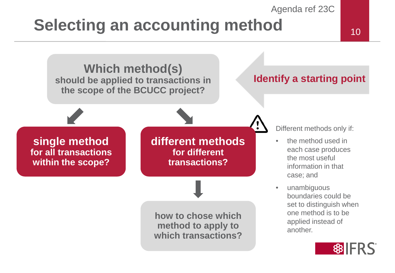### **Selecting an accounting method** 10



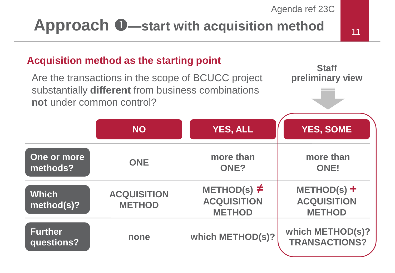### **Approach**  $\bullet$ —start with acquisition method  $\bullet$  11

#### **Acquisition method as the starting point**

Are the transactions in the scope of BCUCC project substantially **different** from business combinations **not** under common control?



|                              | <b>NO</b>                           | <b>YES, ALL</b>                                         | <b>YES, SOME</b>                                     |
|------------------------------|-------------------------------------|---------------------------------------------------------|------------------------------------------------------|
| One or more<br>methods?      | <b>ONE</b>                          | more than<br>ONE?                                       | more than<br><b>ONE!</b>                             |
| <b>Which</b><br>method(s)?   | <b>ACQUISITION</b><br><b>METHOD</b> | METHOD(s) $\neq$<br><b>ACQUISITION</b><br><b>METHOD</b> | $METHOD(s) +$<br><b>ACQUISITION</b><br><b>METHOD</b> |
| <b>Further</b><br>questions? | none                                | which METHOD(s)?                                        | which METHOD(s)?<br><b>TRANSACTIONS?</b>             |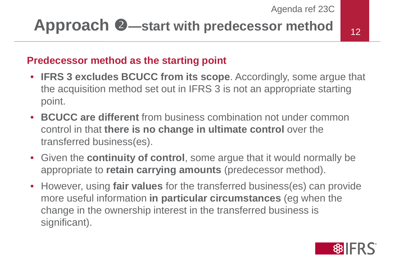### **Approach 2**—start with predecessor method <sub>12</sub>

#### **Predecessor method as the starting point**

- **IFRS 3 excludes BCUCC from its scope**. Accordingly, some argue that the acquisition method set out in IFRS 3 is not an appropriate starting point.
- **BCUCC are different** from business combination not under common control in that **there is no change in ultimate control** over the transferred business(es).
- Given the **continuity of control**, some argue that it would normally be appropriate to **retain carrying amounts** (predecessor method).
- However, using **fair values** for the transferred business(es) can provide more useful information **in particular circumstances** (eg when the change in the ownership interest in the transferred business is significant).

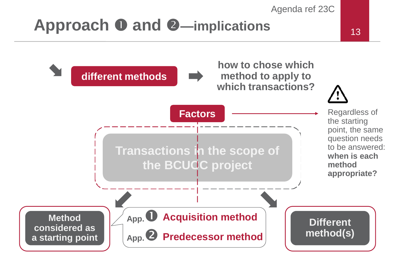### **Approach 0 and 2—implications**

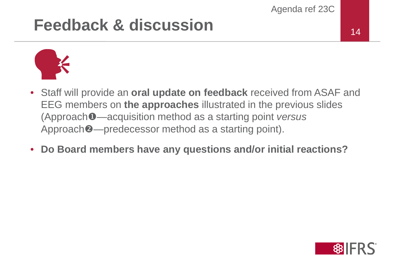### **Feedback & discussion** 14



- Staff will provide an **oral update on feedback** received from ASAF and EEG members on **the approaches** illustrated in the previous slides (Approach—acquisition method as a starting point *versus* Approach  $\bullet$ —predecessor method as a starting point).
- **Do Board members have any questions and/or initial reactions?**

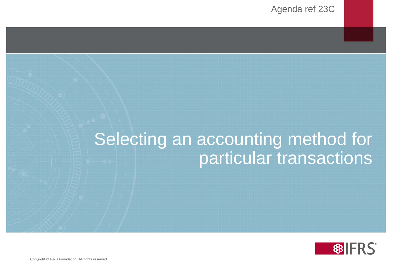### Selecting an accounting method for particular transactions

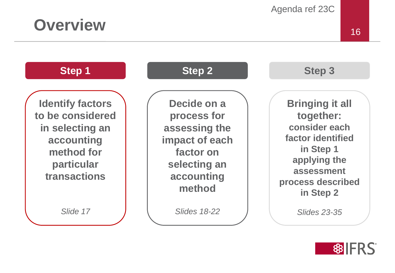

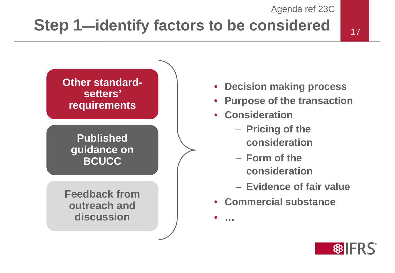### **Step 1—identify factors to be considered**



#### **Published guidance on BCUCC**

**Feedback from outreach and discussion**

- **Decision making process**
- **Purpose of the transaction**
- **Consideration**

• **…** 

- **Pricing of the consideration**
- **Form of the consideration**
- **Evidence of fair value**
- **Commercial substance**

 **\$BIFRS**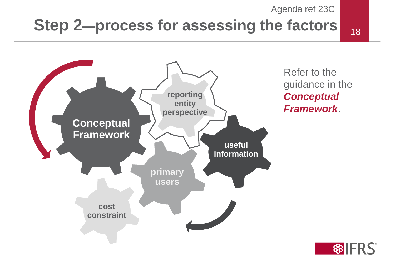### **Step 2—process for assessing the factors** 18



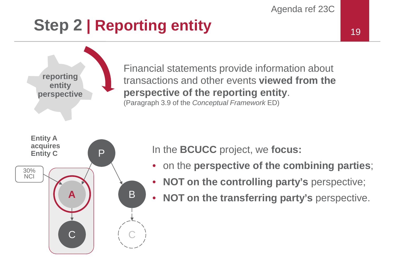### **Step 2 | Reporting entity**



Financial statements provide information about transactions and other events **viewed from the perspective of the reporting entity**. (Paragraph 3.9 of the *Conceptual Framework* ED)



**reporting entity perspective**

In the **BCUCC** project, we **focus:**

- on the **perspective of the combining parties**;
- **NOT on the controlling party's** perspective;
- **NOT on the transferring party's** perspective.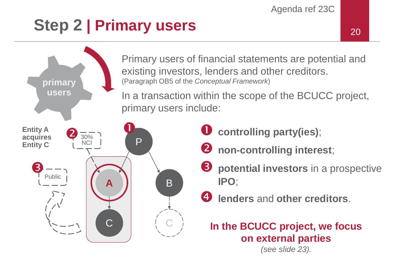### **Step 2 | Primary users**  $20$



*(see slide 23).*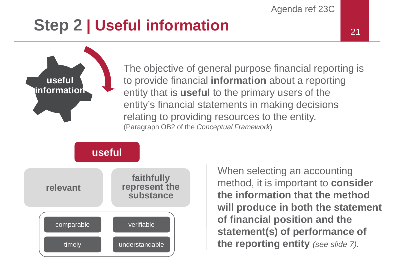### **Step 2 | Useful information**



The objective of general purpose financial reporting is to provide financial **information** about a reporting entity that is **useful** to the primary users of the entity's financial statements in making decisions relating to providing resources to the entity. (Paragraph OB2 of the *Conceptual Framework*)

**useful**



When selecting an accounting method, it is important to **consider the information that the method will produce in both the statement of financial position and the statement(s) of performance of the reporting entity** *(see slide 7).*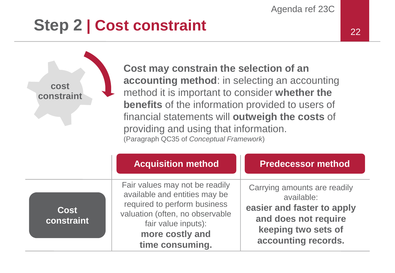#### **Step 2 | Cost constraint** 22

**cost constraint** **Cost may constrain the selection of an accounting method**: in selecting an accounting method it is important to consider **whether the benefits** of the information provided to users of financial statements will **outweigh the costs** of providing and using that information. (Paragraph QC35 of *Conceptual Framework*)

|                           | <b>Acquisition method</b>                                                                                                                                                                       | <b>Predecessor method</b>                                                                                                                      |
|---------------------------|-------------------------------------------------------------------------------------------------------------------------------------------------------------------------------------------------|------------------------------------------------------------------------------------------------------------------------------------------------|
| <b>Cost</b><br>constraint | Fair values may not be readily<br>available and entities may be<br>required to perform business<br>valuation (often, no observable<br>fair value inputs):<br>more costly and<br>time consuming. | Carrying amounts are readily<br>available:<br>easier and faster to apply<br>and does not require<br>keeping two sets of<br>accounting records. |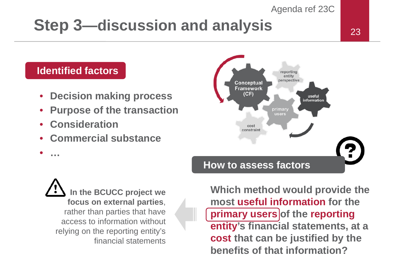#### **Step 3—discussion and analysis** 23

#### **Identified factors**

- **Decision making process**
- **Purpose of the transaction**
- **Consideration**

• **…** 

• **Commercial substance**



**In the BCUCC project we focus on external parties**, rather than parties that have access to information without relying on the reporting entity's financial statements

**Which method would provide the most useful information for the primary users of the reporting entity's financial statements, at a cost that can be justified by the benefits of that information?**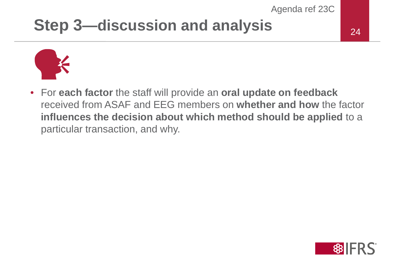#### **Step 3—discussion and analysis**



• For **each factor** the staff will provide an **oral update on feedback** received from ASAF and EEG members on **whether and how** the factor **influences the decision about which method should be applied** to a particular transaction, and why.

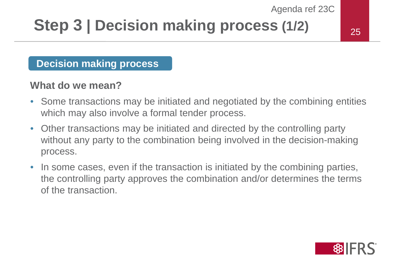### **Step 3 | Decision making process (1/2)**

25

#### **Decision making process**

#### **What do we mean?**

- Some transactions may be initiated and negotiated by the combining entities which may also involve a formal tender process.
- Other transactions may be initiated and directed by the controlling party without any party to the combination being involved in the decision-making process.
- In some cases, even if the transaction is initiated by the combining parties, the controlling party approves the combination and/or determines the terms of the transaction.

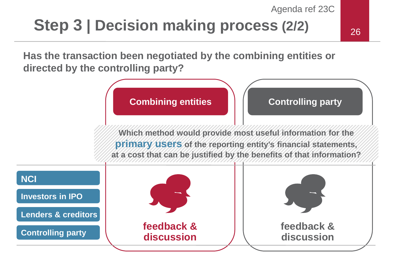### **Step 3 | Decision making process (2/2)**

**Has the transaction been negotiated by the combining entities or directed by the controlling party?**

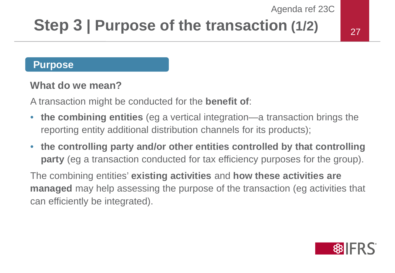### **Step 3 | Purpose of the transaction (1/2)**

#### **Purpose**

#### **What do we mean?**

A transaction might be conducted for the **benefit of**:

- **the combining entities** (eg a vertical integration—a transaction brings the reporting entity additional distribution channels for its products);
- **the controlling party and/or other entities controlled by that controlling party** (eg a transaction conducted for tax efficiency purposes for the group).

The combining entities' **existing activities** and **how these activities are managed** may help assessing the purpose of the transaction (eg activities that can efficiently be integrated).

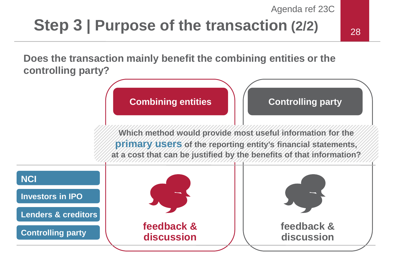### **Step 3** | Purpose of the transaction (2/2)  $\frac{1}{28}$

**Does the transaction mainly benefit the combining entities or the controlling party?**

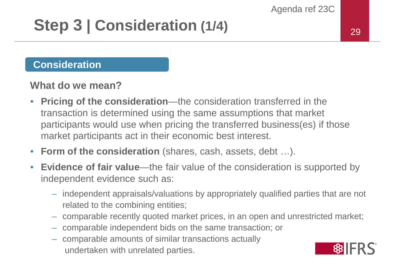### **Step 3 | Consideration (1/4)**

#### **Consideration**

#### **What do we mean?**

- **Pricing of the consideration**—the consideration transferred in the transaction is determined using the same assumptions that market participants would use when pricing the transferred business(es) if those market participants act in their economic best interest.
- **Form of the consideration** (shares, cash, assets, debt …).
- **Evidence of fair value**—the fair value of the consideration is supported by independent evidence such as:
	- independent appraisals/valuations by appropriately qualified parties that are not related to the combining entities;
	- comparable recently quoted market prices, in an open and unrestricted market;
	- comparable independent bids on the same transaction; or
	- comparable amounts of similar transactions actually undertaken with unrelated parties.

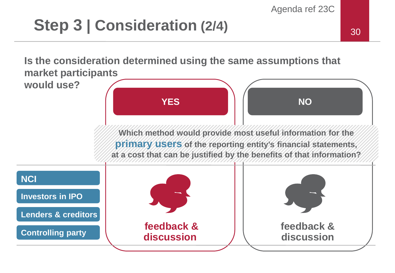### **Step 3** | Consideration (2/4) 30

**Is the consideration determined using the same assumptions that market participants** 

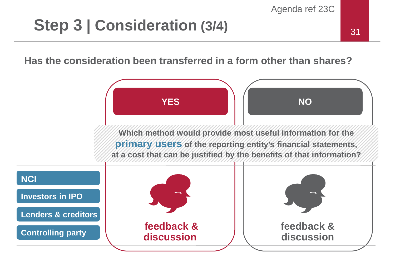### **Step 3 | Consideration (3/4)** 31

#### **Has the consideration been transferred in a form other than shares?**

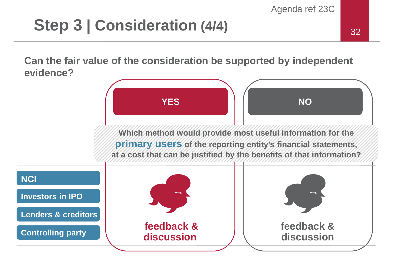### **Step 3** | Consideration (4/4)  $\frac{1}{32}$

**Can the fair value of the consideration be supported by independent evidence?**

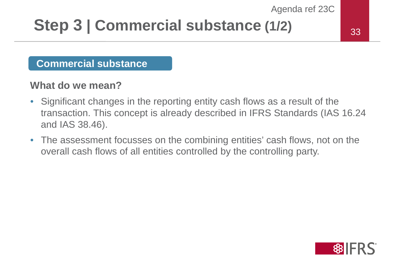### **Step 3 | Commercial substance (1/2)**

#### 33

#### **Commercial substance**

#### **What do we mean?**

- Significant changes in the reporting entity cash flows as a result of the transaction. This concept is already described in IFRS Standards (IAS 16.24 and IAS 38.46).
- The assessment focusses on the combining entities' cash flows, not on the overall cash flows of all entities controlled by the controlling party.

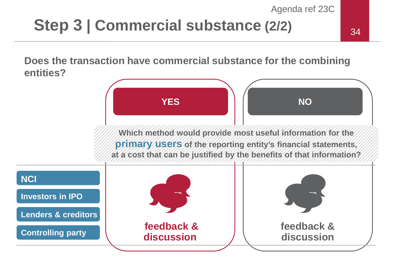#### **Step 3 | Commercial substance (2/2)**

**Does the transaction have commercial substance for the combining entities?**

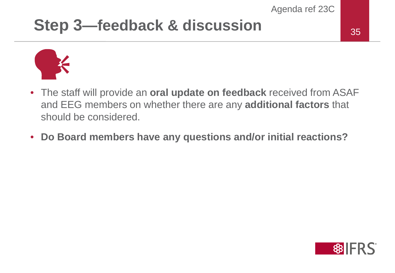#### **Step 3—feedback & discussion** 35



- The staff will provide an **oral update on feedback** received from ASAF and EEG members on whether there are any **additional factors** that should be considered.
- **Do Board members have any questions and/or initial reactions?**